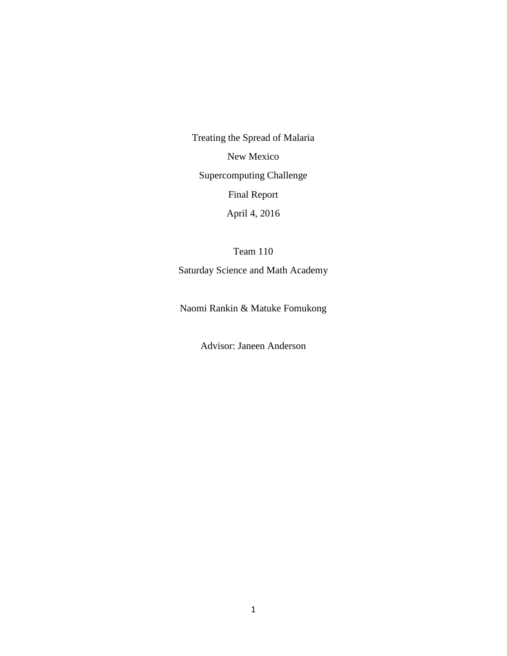Treating the Spread of Malaria New Mexico Supercomputing Challenge Final Report April 4, 2016

Team 110 Saturday Science and Math Academy

Naomi Rankin & Matuke Fomukong

Advisor: Janeen Anderson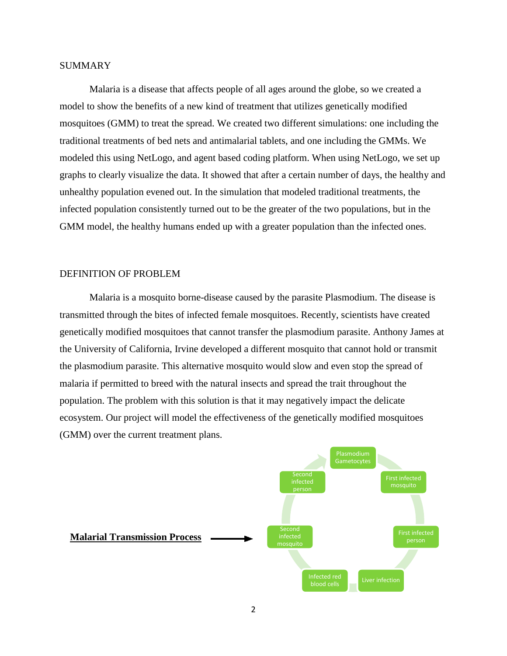# SUMMARY

Malaria is a disease that affects people of all ages around the globe, so we created a model to show the benefits of a new kind of treatment that utilizes genetically modified mosquitoes (GMM) to treat the spread. We created two different simulations: one including the traditional treatments of bed nets and antimalarial tablets, and one including the GMMs. We modeled this using NetLogo, and agent based coding platform. When using NetLogo, we set up graphs to clearly visualize the data. It showed that after a certain number of days, the healthy and unhealthy population evened out. In the simulation that modeled traditional treatments, the infected population consistently turned out to be the greater of the two populations, but in the GMM model, the healthy humans ended up with a greater population than the infected ones.

### DEFINITION OF PROBLEM

Malaria is a mosquito borne-disease caused by the parasite Plasmodium. The disease is transmitted through the bites of infected female mosquitoes. Recently, scientists have created genetically modified mosquitoes that cannot transfer the plasmodium parasite. Anthony James at the University of California, Irvine developed a different mosquito that cannot hold or transmit the plasmodium parasite. This alternative mosquito would slow and even stop the spread of malaria if permitted to breed with the natural insects and spread the trait throughout the population. The problem with this solution is that it may negatively impact the delicate ecosystem. Our project will model the effectiveness of the genetically modified mosquitoes (GMM) over the current treatment plans.

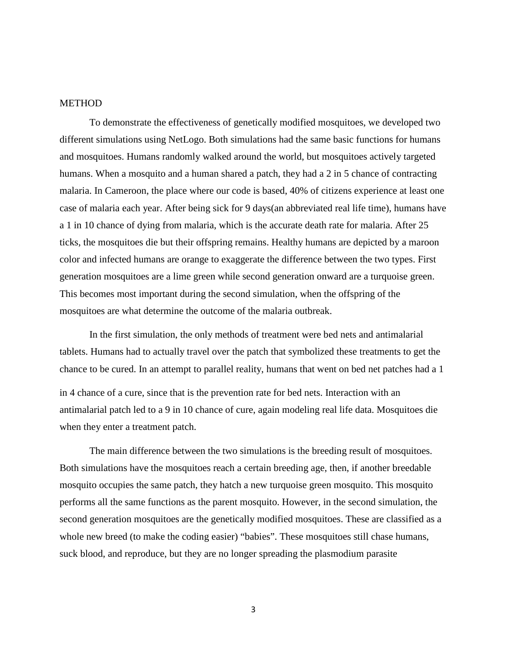#### METHOD

To demonstrate the effectiveness of genetically modified mosquitoes, we developed two different simulations using NetLogo. Both simulations had the same basic functions for humans and mosquitoes. Humans randomly walked around the world, but mosquitoes actively targeted humans. When a mosquito and a human shared a patch, they had a 2 in 5 chance of contracting malaria. In Cameroon, the place where our code is based, 40% of citizens experience at least one case of malaria each year. After being sick for 9 days(an abbreviated real life time), humans have a 1 in 10 chance of dying from malaria, which is the accurate death rate for malaria. After 25 ticks, the mosquitoes die but their offspring remains. Healthy humans are depicted by a maroon color and infected humans are orange to exaggerate the difference between the two types. First generation mosquitoes are a lime green while second generation onward are a turquoise green. This becomes most important during the second simulation, when the offspring of the mosquitoes are what determine the outcome of the malaria outbreak.

In the first simulation, the only methods of treatment were bed nets and antimalarial tablets. Humans had to actually travel over the patch that symbolized these treatments to get the chance to be cured. In an attempt to parallel reality, humans that went on bed net patches had a 1 in 4 chance of a cure, since that is the prevention rate for bed nets. Interaction with an antimalarial patch led to a 9 in 10 chance of cure, again modeling real life data. Mosquitoes die when they enter a treatment patch.

The main difference between the two simulations is the breeding result of mosquitoes. Both simulations have the mosquitoes reach a certain breeding age, then, if another breedable mosquito occupies the same patch, they hatch a new turquoise green mosquito. This mosquito performs all the same functions as the parent mosquito. However, in the second simulation, the second generation mosquitoes are the genetically modified mosquitoes. These are classified as a whole new breed (to make the coding easier) "babies". These mosquitoes still chase humans, suck blood, and reproduce, but they are no longer spreading the plasmodium parasite

3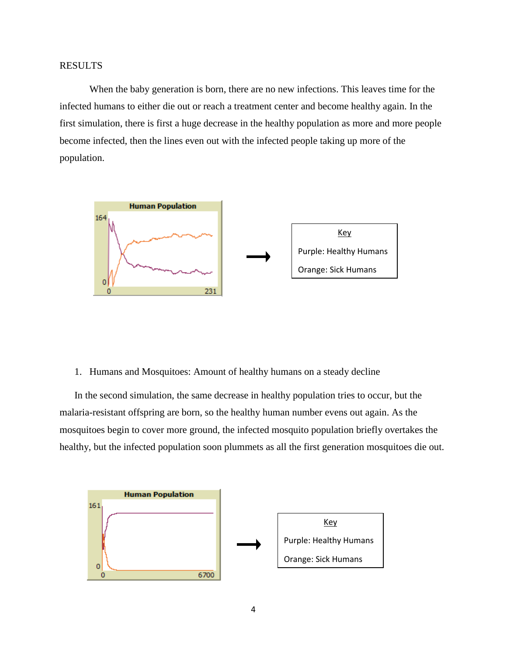When the baby generation is born, there are no new infections. This leaves time for the infected humans to either die out or reach a treatment center and become healthy again. In the first simulation, there is first a huge decrease in the healthy population as more and more people become infected, then the lines even out with the infected people taking up more of the population.



1. Humans and Mosquitoes: Amount of healthy humans on a steady decline

In the second simulation, the same decrease in healthy population tries to occur, but the malaria-resistant offspring are born, so the healthy human number evens out again. As the mosquitoes begin to cover more ground, the infected mosquito population briefly overtakes the healthy, but the infected population soon plummets as all the first generation mosquitoes die out.

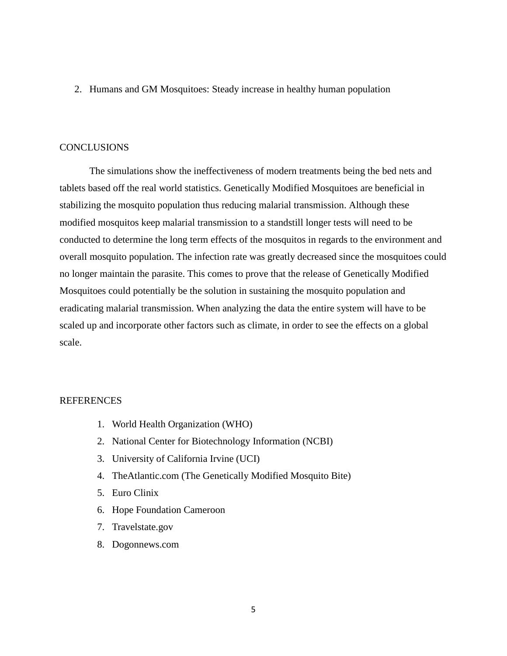2. Humans and GM Mosquitoes: Steady increase in healthy human population

### **CONCLUSIONS**

The simulations show the ineffectiveness of modern treatments being the bed nets and tablets based off the real world statistics. Genetically Modified Mosquitoes are beneficial in stabilizing the mosquito population thus reducing malarial transmission. Although these modified mosquitos keep malarial transmission to a standstill longer tests will need to be conducted to determine the long term effects of the mosquitos in regards to the environment and overall mosquito population. The infection rate was greatly decreased since the mosquitoes could no longer maintain the parasite. This comes to prove that the release of Genetically Modified Mosquitoes could potentially be the solution in sustaining the mosquito population and eradicating malarial transmission. When analyzing the data the entire system will have to be scaled up and incorporate other factors such as climate, in order to see the effects on a global scale.

### REFERENCES

- 1. World Health Organization (WHO)
- 2. National Center for Biotechnology Information (NCBI)
- 3. University of California Irvine (UCI)
- 4. TheAtlantic.com (The Genetically Modified Mosquito Bite)
- 5. Euro Clinix
- 6. Hope Foundation Cameroon
- 7. Travelstate.gov
- 8. Dogonnews.com